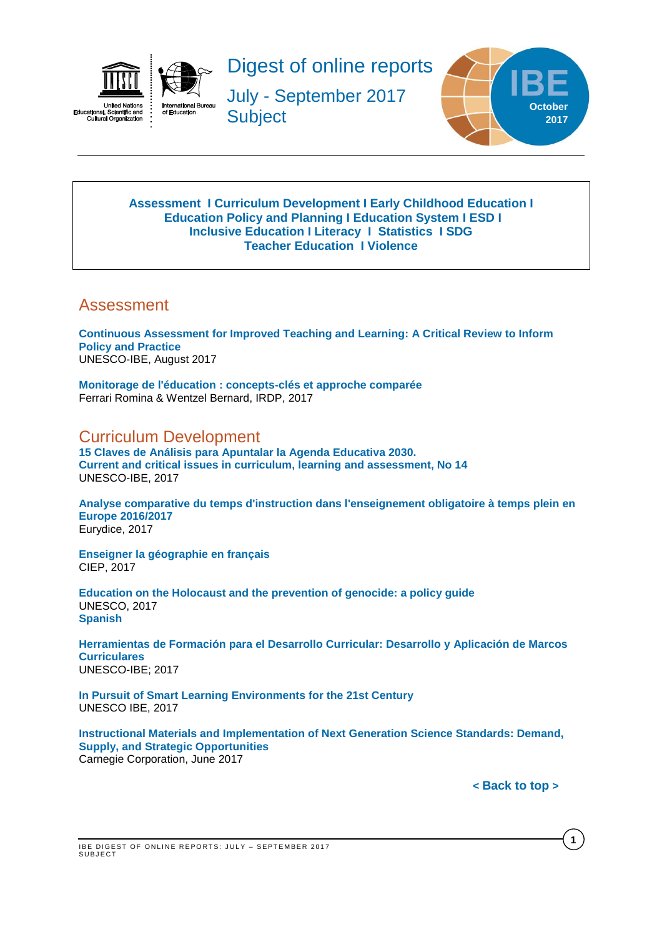

<span id="page-0-2"></span>ıaı, əciə<br>ural Orga  $\overline{\text{cut}}$ 



Digest of online reports

July - September 2017 **Subject** 



#### **[Assessment](#page-0-0) I [Curriculum Development](#page-0-1) I [Early Childhood Education](#page-1-0) I [Education Policy and Planning](#page-1-1) I [Education](#page-1-2) System I [ESD](#page-2-0) I [Inclusive Education](#page-2-1) I [Literacy](#page-3-0) I [Statistics](#page-4-0) I [SDG](#page-3-1) [Teacher Education](#page-4-1) I [Violence](#page-4-2)**

## <span id="page-0-0"></span>Assessment

**[Continuous Assessment for Improved Teaching and Learning: A Critical Review to Inform](http://unesdoc.unesco.org/images/0025/002555/255511e.pdf)  [Policy and Practice](http://unesdoc.unesco.org/images/0025/002555/255511e.pdf)** UNESCO-IBE, August 2017

**[Monitorage de l'éducation : concepts-clés et approche comparée](https://edudoc.ch/record/127961?ln=fr)** Ferrari Romina & Wentzel Bernard, IRDP, 2017

<span id="page-0-1"></span>Curriculum Development

**[15 Claves de Análisis para Apuntalar la Agenda Educativa 2030.](http://unesdoc.unesco.org/images/0025/002590/259069S.pdf)  [Current and critical issues in curriculum, learning and assessment, No 14](http://unesdoc.unesco.org/images/0025/002590/259069S.pdf)** UNESCO-IBE, 2017

**[Analyse comparative du temps d'instruction dans l'enseignement obligatoire à temps plein en](https://publications.europa.eu/en/publication-detail/-/publication/96d6a299-7278-11e7-b2f2-01aa75ed71a1/language-en)  [Europe 2016/2017](https://publications.europa.eu/en/publication-detail/-/publication/96d6a299-7278-11e7-b2f2-01aa75ed71a1/language-en)** Eurydice, 2017

**[Enseigner la géographie en français](http://lefildubilingue.org/ressources/enseigner-la-geographie-en-francais)** CIEP, 2017

**[Education on the Holocaust and the prevention of genocide: a policy guide](http://unesdoc.unesco.org/images/0024/002480/248071E.pdf)** UNESCO, 2017 **[Spanish](http://unesdoc.unesco.org/images/0025/002587/258766s.pdf)**

**[Herramientas de Formación para el Desarrollo Curricular: Desarrollo y Aplicación de Marcos](http://unesdoc.unesco.org/images/0025/002500/250052s.pdf)  [Curriculares](http://unesdoc.unesco.org/images/0025/002500/250052s.pdf)** UNESCO-IBE; 2017

**[In Pursuit of Smart Learning Environments for the 21st Century](http://unesdoc.unesco.org/images/0025/002523/252335E.pdf)** UNESCO IBE, 2017

**[Instructional Materials and Implementation of Next Generation Science Standards: Demand,](https://www.carnegie.org/media/filer_public/d4/0c/d40cfac7-2003-4820-b933-f404049596d1/ngss_report_carnegie_corp_72017.pdf)  [Supply, and Strategic Opportunities](https://www.carnegie.org/media/filer_public/d4/0c/d40cfac7-2003-4820-b933-f404049596d1/ngss_report_carnegie_corp_72017.pdf)** Carnegie Corporation, June 2017

**< [Back](#page-0-2) to top >**

**1**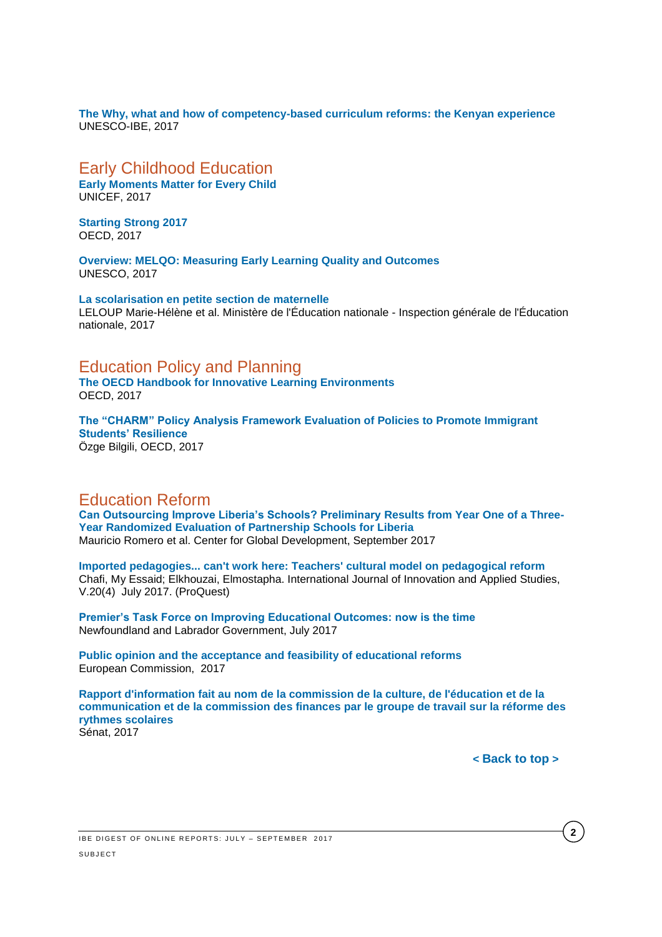**[The Why, what and how of competency-based curriculum reforms: the Kenyan experience](http://unesdoc.unesco.org/images/0025/002504/250431e.pdf)** UNESCO-IBE, 2017

### <span id="page-1-0"></span>Early Childhood Education

**[Early Moments Matter for Every Child](https://www.unicef.org/publications/index_100862.html)** UNICEF, 2017

**[Starting Strong 2017](https://www.oecd.org/publications/starting-strong-2017-9789264276116-en.htm)** OECD, 2017

**[Overview: MELQO: Measuring Early Learning Quality and Outcomes](http://unesdoc.unesco.org/images/0024/002480/248053e.pdf)** UNESCO, 2017

**[La scolarisation en petite section de maternelle](http://www.ladocumentationfrancaise.fr/var/storage/rapports-publics/174000672.pdf)** LELOUP Marie-Hélène et al. Ministère de l'Éducation nationale - Inspection générale de l'Éducation nationale, 2017

### <span id="page-1-1"></span>Education Policy and Planning

**[The OECD Handbook for Innovative Learning Environments](http://www.oecd-ilibrary.org/education/the-oecd-handbook-for-innovative-learning-environments_9789264277274-en)** OECD, 2017

**[The "CHARM" Policy Analysis Framework Evaluation of Policies to Promote Immigrant](http://www.oecd-ilibrary.org/education/the-charm-policy-analysis-framework_164a7643-en)  [Students' Resilience](http://www.oecd-ilibrary.org/education/the-charm-policy-analysis-framework_164a7643-en)** Özge Bilgili, OECD, 2017

### Education Reform

**[Can Outsourcing Improve Liberia's Schools? Preliminary](https://www.cgdev.org/sites/default/files/partnership-schools-for-liberia.pdf) Results from Year One of a Three-[Year Randomized Evaluation of Partnership Schools for Liberia](https://www.cgdev.org/sites/default/files/partnership-schools-for-liberia.pdf)** Mauricio Romero et al. Center for Global Development, September 2017

**[Imported pedagogies... can't work here: Teachers' cultural model on pedagogical reform](http://search.proquest.com/central/docview/1880680329/4C6845C6AD8C48E0PQ/3?accountid=41859)** Chafi, My Essaid; Elkhouzai, Elmostapha. International Journal of Innovation and Applied Studies, V.20(4) July 2017. (ProQuest)

**[Premier's Task Force on Improving Educational Outcomes: now is the time](http://www.ed.gov.nl.ca/edu/task_force/report.pdf)** Newfoundland and Labrador Government, July 2017

**[Public opinion and the acceptance and feasibility of educational reforms](https://publications.europa.eu/en/publication-detail/-/publication/a29f75ba-dc81-11e6-ad7c-01aa75ed71a1/language-en)** European Commission, 2017

<span id="page-1-2"></span>**[Rapport d'information fait au nom de la commission de la culture, de l'éducation et de la](http://www.senat.fr/notice-rapport/2016/r16-577-notice.html)  [communication et de la commission des finances par le groupe de travail sur la réforme des](http://www.senat.fr/notice-rapport/2016/r16-577-notice.html)  [rythmes scolaires](http://www.senat.fr/notice-rapport/2016/r16-577-notice.html)** Sénat, 2017

**< [Back](#page-0-2) to top >**

**2**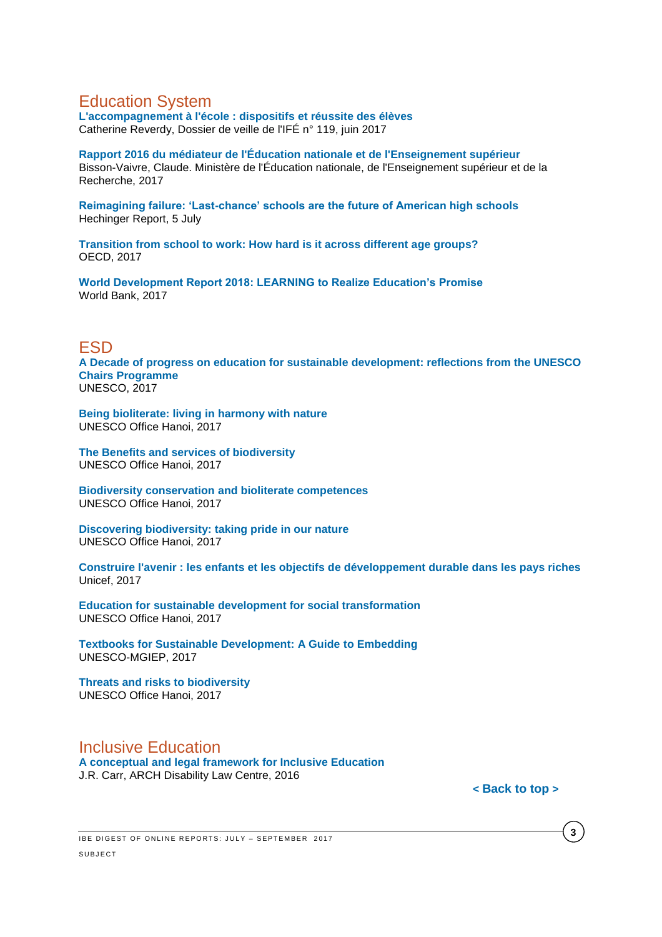## Education System

**[L'accompagnement à l'école : dispositifs et réussite des élèves](http://ife.ens-lyon.fr/vst/DA-Veille/119-juin-2017.pdf)** Catherine Reverdy, Dossier de veille de l'IFÉ n° 119, juin 2017

**[Rapport 2016 du médiateur de l'Éducation nationale et de l'Enseignement supérieur](http://cache.media.education.gouv.fr/file/Racine/19/3/2017_rapport_mediateur_bdef_788193.pdf)** Bisson-Vaivre, Claude. Ministère de l'Éducation nationale, de l'Enseignement supérieur et de la Recherche, 2017

**[Reimagining failure: 'Last-chance' schools are the future of American high schools](http://hechingerreport.org/reimagining-failure-last-chance-schools-future-american-high-schools/)** Hechinger Report, 5 July

**[Transition from school to work: How hard is it across different age groups?](http://www.oecd-ilibrary.org/docserver/download/1e604198-en.pdf?expires=1505308168&id=id&accname=guest&checksum=8279218EF2F81726ADCC0565306D3380)** OECD, 2017

**[World Development Report 2018: LEARNING to Realize Education's Promise](http://www.worldbank.org/en/publication/wdr2018)** World Bank, 2017

### <span id="page-2-0"></span>ESD

**[A Decade of progress on education for sustainable development: reflections from the UNESCO](http://unesdoc.unesco.org/images/0025/002523/252319e.pdf)  [Chairs Programme](http://unesdoc.unesco.org/images/0025/002523/252319e.pdf)** UNESCO, 2017

**[Being bioliterate: living in harmony with nature](http://unesdoc.unesco.org/images/0024/002494/249462e.pdf)** UNESCO Office Hanoi, 2017

**[The Benefits and services of biodiversity](http://unesdoc.unesco.org/images/0024/002497/249733e.pdf)** UNESCO Office Hanoi, 2017

**[Biodiversity conservation and bioliterate competences](http://unesdoc.unesco.org/images/0024/002497/249740e.pdf)** UNESCO Office Hanoi, 2017

**[Discovering biodiversity: taking pride in our nature](http://unesdoc.unesco.org/images/0024/002497/249713e.pdf)** UNESCO Office Hanoi, 2017

**[Construire l'avenir : les enfants et les objectifs de développement durable dans les pays riches](https://www.unicef-irc.org/publications/891/)** Unicef, 2017

**Education for [sustainable development for social transformation](http://unesdoc.unesco.org/images/0024/002497/249741e.pdf)** UNESCO Office Hanoi, 2017

**[Textbooks for Sustainable Development: A Guide to Embedding](http://mgiep.unesco.org/wp-content/uploads/2017/07/COMPLETE-GUIDEBOOK_Textbooks-for-Sustainable-Development_2.pdf)** UNESCO-MGIEP, 2017

**[Threats and risks to biodiversity](http://unesdoc.unesco.org/images/0024/002497/249739e.pdf)** UNESCO Office Hanoi, 2017

### <span id="page-2-1"></span>Inclusive Education

**[A conceptual and legal framework for Inclusive Education](http://inclusiveeducation.ca/wp-content/uploads/sites/3/2017/03/Legal-Framework-Inclusive-Education-Jody-Carr-Dec-30-2016.pdf)** J.R. Carr, ARCH Disability Law Centre, 2016

**< [Back](#page-0-2) to top >**

**3**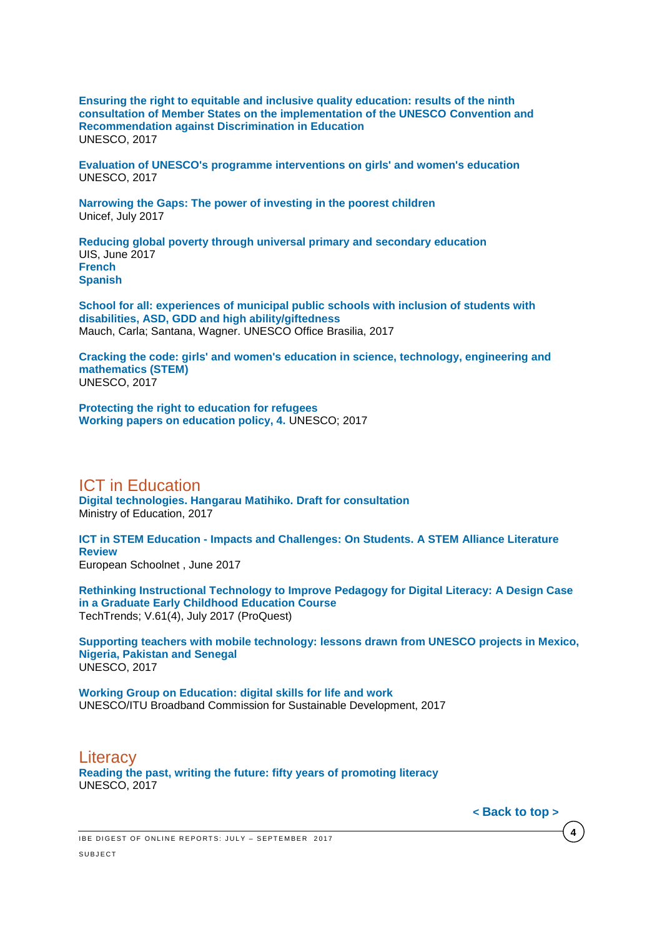**[Ensuring the right to equitable and inclusive quality education: results of the ninth](http://unesdoc.unesco.org/images/0025/002514/251463e.pdf)  [consultation of Member States on the implementation of the UNESCO](http://unesdoc.unesco.org/images/0025/002514/251463e.pdf) Convention and [Recommendation against Discrimination in Education](http://unesdoc.unesco.org/images/0025/002514/251463e.pdf)** UNESCO, 2017

**[Evaluation of UNESCO's programme interventions on girls' and women's education](http://unesdoc.unesco.org/images/0025/002589/258978e.pdf)** UNESCO, 2017

**[Narrowing the Gaps: The power of investing in the poorest children](https://www.unicef.org/publications/index_96534.html)** Unicef, July 2017

**[Reducing global poverty through universal primary and secondary education](http://unesdoc.unesco.org/images/0025/002503/250392e.pdf)** UIS, June 2017 **[French](http://unesdoc.unesco.org/images/0025/002503/250392f.pdf) [Spanish](http://unesdoc.unesco.org/images/0025/002503/250392s.pdf)**

**[School for all: experiences of municipal public schools with inclusion of students with](http://unesdoc.unesco.org/images/0025/002513/251304e.pdf)  [disabilities, ASD, GDD and high ability/giftedness](http://unesdoc.unesco.org/images/0025/002513/251304e.pdf)** Mauch, Carla; Santana, Wagner. UNESCO Office Brasilia, 2017

**[Cracking the code: girls' and women's education in science, technology, engineering and](http://unesdoc.unesco.org/images/0025/002534/253479e.pdf)  [mathematics \(STEM\)](http://unesdoc.unesco.org/images/0025/002534/253479e.pdf)** UNESCO, 2017

**[Protecting the right to education for refugees](http://unesdoc.unesco.org/images/0025/002510/251076e.pdf) [Working papers on education policy, 4.](http://unesdoc.unesco.org/images/0025/002510/251076e.pdf)** UNESCO; 2017

ICT in Education

**[Digital technologies. Hangarau Matihiko. Draft for consultation](https://education.govt.nz/assets/Documents/Ministry/consultations/DT-consultation/DTCP1701-Digital-Technologies-Hangarau-Matihiko-ENG.pdf)** Ministry of Education, 2017

**ICT in STEM Education - [Impacts and Challenges: On Students. A STEM Alliance Literature](http://www.stemalliance.eu/ict-paper-2-on-students)  [Review](http://www.stemalliance.eu/ict-paper-2-on-students)** European Schoolnet , June 2017

**[Rethinking Instructional Technology to Improve Pedagogy for Digital Literacy: A Design Case](http://search.proquest.com/central/docview/1912487696/fulltextPDF/A702887513FA4049PQ/11?accountid=41859)  [in a Graduate Early Childhood Education Course](http://search.proquest.com/central/docview/1912487696/fulltextPDF/A702887513FA4049PQ/11?accountid=41859)** TechTrends; V.61(4), July 2017 (ProQuest)

**[Supporting teachers with mobile technology: lessons drawn from UNESCO projects in Mexico,](http://unesdoc.unesco.org/images/0025/002515/251511e.pdf)  [Nigeria, Pakistan and Senegal](http://unesdoc.unesco.org/images/0025/002515/251511e.pdf)** UNESCO, 2017

**[Working Group on Education: digital skills for life and work](http://unesdoc.unesco.org/images/0025/002590/259013e.pdf)** UNESCO/ITU Broadband Commission for Sustainable Development, 2017

<span id="page-3-1"></span><span id="page-3-0"></span>**Literacy [Reading the past, writing the future: fifty years of promoting literacy](http://unesdoc.unesco.org/images/0024/002475/247563e.pdf)** UNESCO, 2017

**< [Back](#page-0-2) to top >**

**4**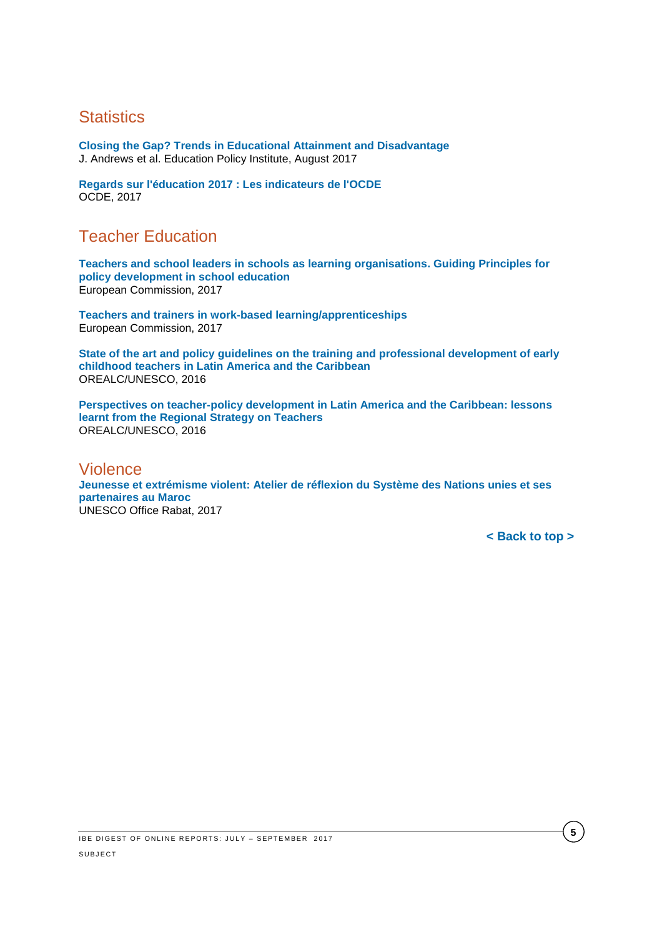# <span id="page-4-0"></span>**Statistics**

**[Closing the Gap? Trends in Educational Attainment and Disadvantage](https://epi.org.uk/wp-content/uploads/2017/08/Closing-the-Gap_EPI.pdf)** J. Andrews et al. Education Policy Institute, August 2017

**[Regards sur l'éducation 2017 : Les indicateurs de l'OCDE](http://www.oecd.org/fr/edu/regards-sur-l-education-19991495.htm)** OCDE, 2017

## <span id="page-4-1"></span>Teacher Education

**[Teachers and school leaders in schools as learning organisations. Guiding Principles for](https://ec.europa.eu/education/sites/education/files/teachers-school-leaders-wg-0917_en.pdf)  [policy development in school education](https://ec.europa.eu/education/sites/education/files/teachers-school-leaders-wg-0917_en.pdf)** European Commission, 2017

**[Teachers and trainers in work-based learning/apprenticeships](https://publications.europa.eu/en/publication-detail/-/publication/88780c83-6b64-11e7-b2f2-01aa75ed71a1/language-en)** European Commission, 2017

**[State of the art and policy guidelines on the training and professional development of early](http://unesdoc.unesco.org/images/0024/002476/247650e.pdf)  [childhood teachers in Latin America and the Caribbean](http://unesdoc.unesco.org/images/0024/002476/247650e.pdf)** OREALC/UNESCO, 2016

**[Perspectives on teacher-policy development in Latin America and the Caribbean: lessons](http://unesdoc.unesco.org/images/0024/002482/248295e.pdf)  [learnt from the Regional Strategy on Teachers](http://unesdoc.unesco.org/images/0024/002482/248295e.pdf)** OREALC/UNESCO, 2016

#### <span id="page-4-2"></span>Violence

**[Jeunesse et extrémisme violent: Atelier de réflexion du Système des Nations unies et ses](http://unesdoc.unesco.org/images/0024/002481/248154f.pdf)  [partenaires au Maroc](http://unesdoc.unesco.org/images/0024/002481/248154f.pdf)** UNESCO Office Rabat, 2017

**[< Back to top >](#page-0-2)**

**5**